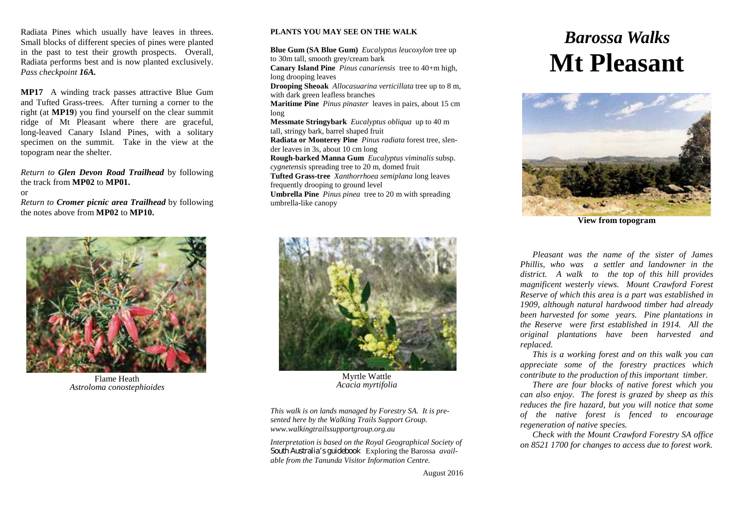Radiata Pines which usually have leaves in threes. Small blocks of different species of pines were planted in the past to test their growth prospects. Overall*,* Radiata performs best and is now planted exclusively. *Pass checkpoint 16A.*

**MP17** A winding track passes attractive Blue Gum and Tufted Grass-trees. After turning a corner to the right (at **MP19**) you find yourself on the clear summit ridge of Mt Pleasant where there are graceful, long-leaved Canary Island Pines, with a solitary specimen on the summit. Take in the view at the topogram near the shelter.

*Return to Glen Devon Road Trailhead* by following the track from **MP02** to **MP01.**

or

*Return to Cromer picnic area Trailhead* by following the notes above from **MP02** to **MP10.**



Flame Heath *Astroloma conostephioides*

## **PLANTS YOU MAY SEE ON THE WALK**

**Blue Gum (SA Blue Gum)** *Eucalyptus leucoxylon* tree up to 30m tall, smooth grey/cream bark

**Canary Island Pine** *Pinus canariensis* tree to 40+m high, long drooping leaves

**Drooping Sheoak** *Allocasuarina verticillata* tree up to 8 m, with dark green leafless branches

**Maritime Pine** *Pinus pinaster* leaves in pairs, about 15 cm long

**Messmate Stringybark** *Eucalyptus obliqua* up to 40 m tall, stringy bark, barrel shaped fruit

**Radiata or Monterey Pine** *Pinus radiata* forest tree, slender leaves in 3s, about 10 cm long

**Rough-barked Manna Gum** *Eucalyptus viminalis* subsp. *cygnetensis* spreading tree to 20 m, domed fruit

**Tufted Grass-tree** *Xanthorrhoea semiplana* long leaves frequently drooping to ground level

**Umbrella Pine** *Pinus pinea* tree to 20 m with spreading umbrella-like canopy



Myrtle Wattle *Acacia myrtifolia*

*This walk is on lands managed by Forestry SA. It is presented here by the Walking Trails Support Group. www.walkingtrailssupportgroup.org.au*

*Interpretation is based on the Royal Geographical Society of South Australia's guidebook* Exploring the Barossa *available from the Tanunda Visitor Information Centre.*

# *Barossa Walks* **Mt Pleasant**



**View from topogram**

*Pleasant was the name of the sister of James Phillis, who was a settler and landowner in the district. A walk to the top of this hill provides magnificent westerly views. Mount Crawford Forest Reserve of which this area is a part was established in 1909, although natural hardwood timber had already been harvested for some years. Pine plantations in the Reserve were first established in 1914. All the original plantations have been harvested and replaced.*

*This is a working forest and on this walk you can appreciate some of the forestry practices which contribute to the production of this important timber.*

*There are four blocks of native forest which you can also enjoy. The forest is grazed by sheep as this reduces the fire hazard, but you will notice that some of the native forest is fenced to encourage regeneration of native species.*

*Check with the Mount Crawford Forestry SA office on 8521 1700 for changes to access due to forest work.*

August 2016